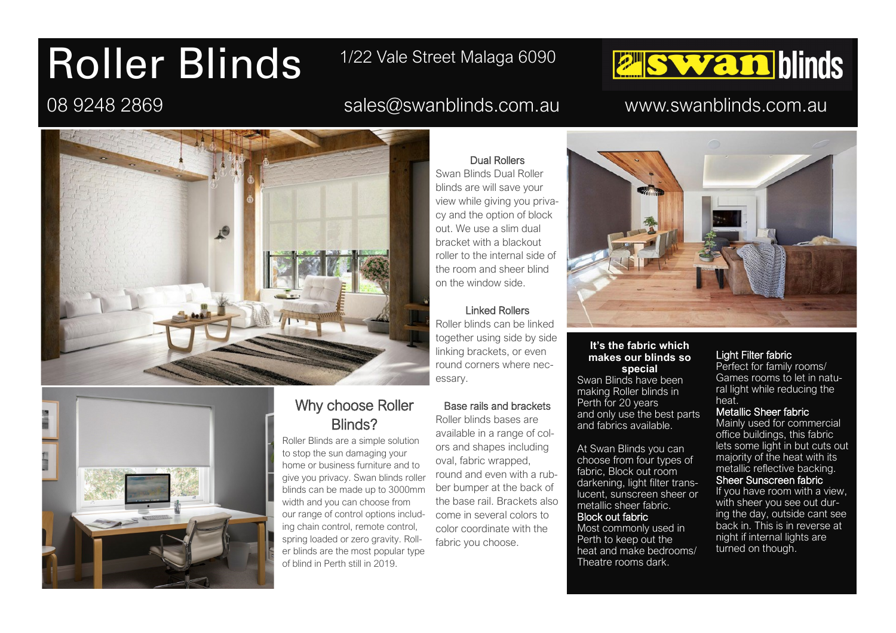# Roller Blinds

## 1/22 Vale Street Malaga 6090

### 08 9248 2869 sales@swanblinds.com.au www.swanblinds.com.au

**E Swan blinds** 





#### Why choose Roller Blinds?

Roller Blinds are a simple solution to stop the sun damaging your home or business furniture and to give you privacy. Swan blinds roller blinds can be made up to 3000mm width and you can choose from our range of control options including chain control, remote control, spring loaded or zero gravity. Roller blinds are the most popular type of blind in Perth still in 2019.

Dual Rollers

Swan Blinds Dual Roller blinds are will save your view while giving you privacy and the option of block out. We use a slim dual bracket with a blackout roller to the internal side of the room and sheer blind on the window side.

#### Linked Rollers

Roller blinds can be linked together using side by side linking brackets, or even round corners where necessary.

#### Base rails and brackets

Roller blinds bases are available in a range of colors and shapes including oval, fabric wrapped, round and even with a rubber bumper at the back of the base rail. Brackets also come in several colors to color coordinate with the fabric you choose.



#### **It's the fabric which makes our blinds so special**

Swan Blinds have been making Roller blinds in Perth for 20 years and only use the best parts and fabrics available.

At Swan Blinds you can choose from four types of fabric, Block out room darkening, light filter translucent, sunscreen sheer or metallic sheer fabric.

#### Block out fabric

Most commonly used in Perth to keep out the heat and make bedrooms/ Theatre rooms dark.

#### Light Filter fabric

Perfect for family rooms/ Games rooms to let in natural light while reducing the heat.

#### Metallic Sheer fabric

Mainly used for commercial office buildings, this fabric lets some light in but cuts out majority of the heat with its metallic reflective backing. Sheer Sunscreen fabric

If you have room with a view,

with sheer you see out during the day, outside cant see back in. This is in reverse at night if internal lights are turned on though.